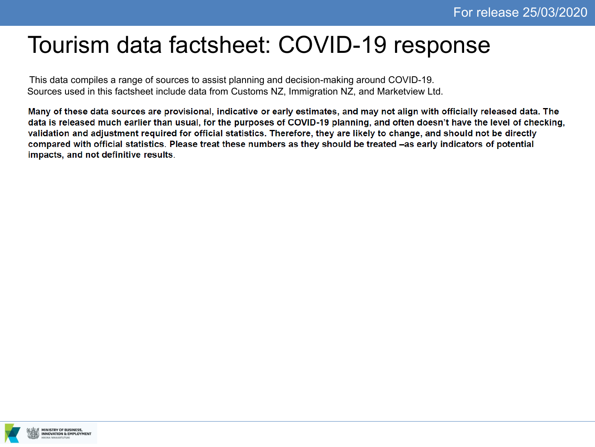# Tourism data factsheet: COVID-19 response

This data compiles a range of sources to assist planning and decision-making around COVID-19. Sources used in this factsheet include data from Customs NZ, Immigration NZ, and Marketview Ltd.

Many of these data sources are provisional, indicative or early estimates, and may not align with officially released data. The data is released much earlier than usual, for the purposes of COVID-19 planning, and often doesn't have the level of checking, validation and adjustment required for official statistics. Therefore, they are likely to change, and should not be directly compared with official statistics. Please treat these numbers as they should be treated -as early indicators of potential impacts, and not definitive results.

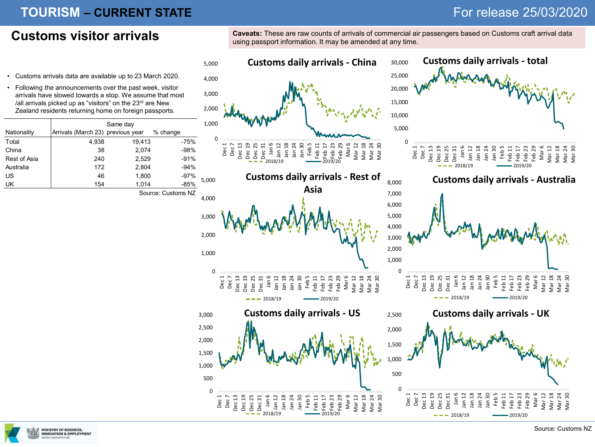### **TOURISM – CURRENT STATE** *CURRENT STATE CURRENT STATE CURRENT STATE CURRENT STATE CURRENT STATE CURRENT STATE CURRENT STATE CURRENT STATE CURRENT STATE CURRENT STATE*

Customs visitor arrivals<sup>caveats: These are raw counts of arrivals of commercial air passengers based on Customs craft arrival data</sup> using passport information. It may be amended at any time.



- Customs arrivals data are available up to 23 March 2020.
- Following the announcements over the past week, visitor arrivals have slowed towards a stop. We assume that most /all arrivals picked up as "visitors" on the 23rd are New Zealand residents returning home on foreign passports.

|              | Same day                          |        |          |  |  |
|--------------|-----------------------------------|--------|----------|--|--|
| Nationality  | Arrivals (March 23) previous year |        | % change |  |  |
| Total        | 4,938                             | 19,413 | $-75%$   |  |  |
| China        | 38                                | 2,074  | $-98%$   |  |  |
| Rest of Asia | 240                               | 2,529  | $-91%$   |  |  |
| Australia    | 172                               | 2,804  | $-94%$   |  |  |
| US           | 46                                | 1,800  | $-97%$   |  |  |
| UK           | 154                               | 1,014  | $-85%$   |  |  |
|              |                                   |        |          |  |  |

Source: Customs NZ

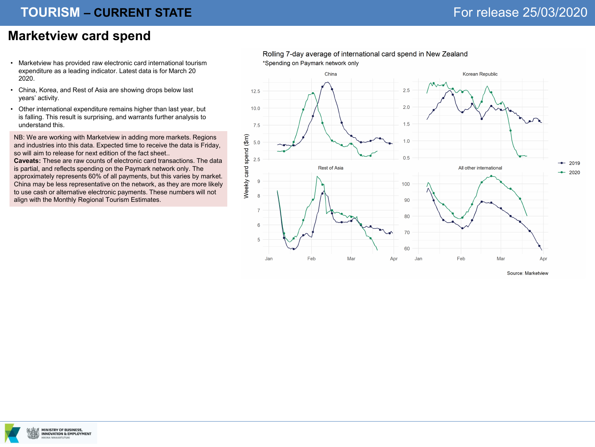## **TOURISM - CURRENT STATE**

### **Marketview card spend**

- Marketview has provided raw electronic card international tourism expenditure as a leading indicator. Latest data is for March 20 2020.
- China, Korea, and Rest of Asia are showing drops below last years' activity.
- Other international expenditure remains higher than last year, but is falling. This result is surprising, and warrants further analysis to understand this.

NB: We are working with Marketview in adding more markets. Regions and industries into this data. Expected time to receive the data is Friday, so will aim to release for next edition of the fact sheet..

**Caveats:** These are raw counts of electronic card transactions. The data is partial, and reflects spending on the Paymark network only. The approximately represents 60% of all payments, but this varies by market. China may be less representative on the network, as they are more likely to use cash or alternative electronic payments. These numbers will not align with the Monthly Regional Tourism Estimates.



Source: Marketview